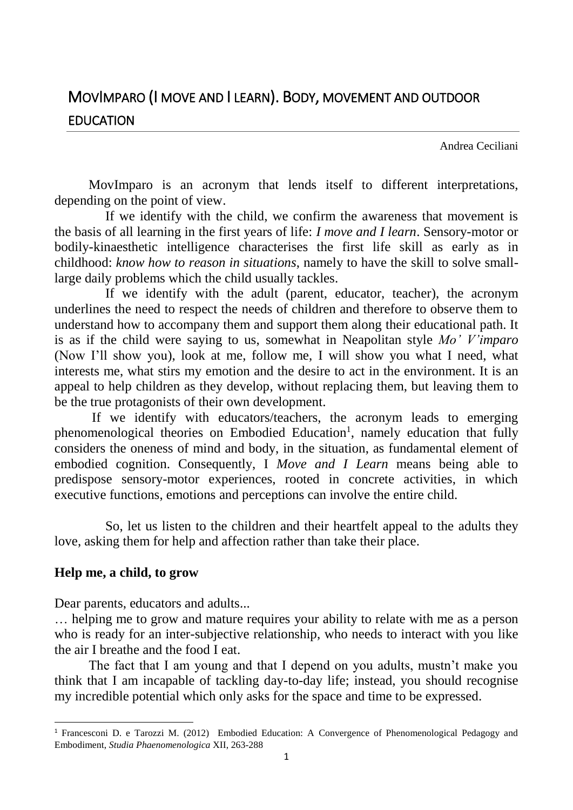## MOVIMPARO (I MOVE AND I LEARN). BODY, MOVEMENT AND OUTDOOR EDUCATION

Andrea Ceciliani

MovImparo is an acronym that lends itself to different interpretations, depending on the point of view.

 If we identify with the child, we confirm the awareness that movement is the basis of all learning in the first years of life: *I move and I learn*. Sensory-motor or bodily-kinaesthetic intelligence characterises the first life skill as early as in childhood: *know how to reason in situations*, namely to have the skill to solve smalllarge daily problems which the child usually tackles.

 If we identify with the adult (parent, educator, teacher), the acronym underlines the need to respect the needs of children and therefore to observe them to understand how to accompany them and support them along their educational path. It is as if the child were saying to us, somewhat in Neapolitan style *Mo' V'imparo*  (Now I'll show you), look at me, follow me, I will show you what I need, what interests me, what stirs my emotion and the desire to act in the environment. It is an appeal to help children as they develop, without replacing them, but leaving them to be the true protagonists of their own development.

If we identify with educators/teachers, the acronym leads to emerging phenomenological theories on Embodied Education<sup>1</sup>, namely education that fully considers the oneness of mind and body, in the situation, as fundamental element of embodied cognition. Consequently, I *Move and I Learn* means being able to predispose sensory-motor experiences, rooted in concrete activities, in which executive functions, emotions and perceptions can involve the entire child.

 So, let us listen to the children and their heartfelt appeal to the adults they love, asking them for help and affection rather than take their place.

## **Help me, a child, to grow**

1

Dear parents, educators and adults...

… helping me to grow and mature requires your ability to relate with me as a person who is ready for an inter-subjective relationship, who needs to interact with you like the air I breathe and the food I eat.

The fact that I am young and that I depend on you adults, mustn't make you think that I am incapable of tackling day-to-day life; instead, you should recognise my incredible potential which only asks for the space and time to be expressed.

<sup>1</sup> Francesconi D. e Tarozzi M. (2012) Embodied Education: A Convergence of Phenomenological Pedagogy and Embodiment, *Studia Phaenomenologica* XII, 263-288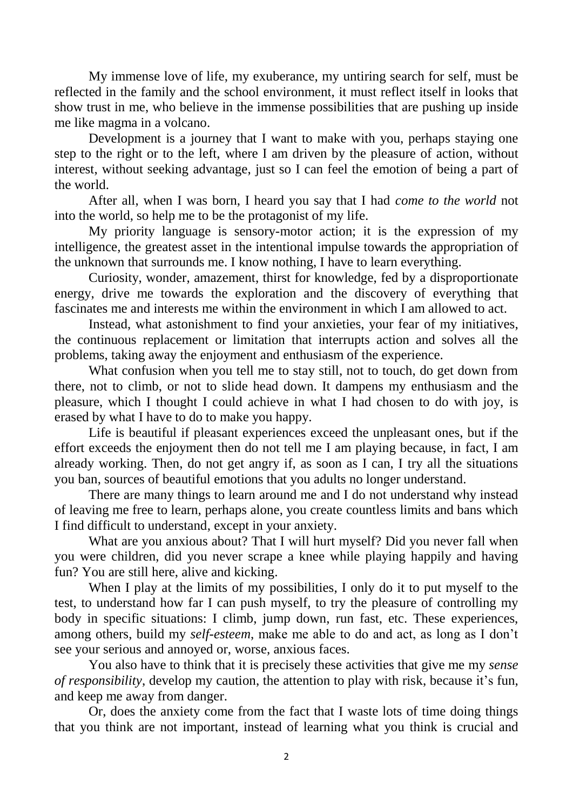My immense love of life, my exuberance, my untiring search for self, must be reflected in the family and the school environment, it must reflect itself in looks that show trust in me, who believe in the immense possibilities that are pushing up inside me like magma in a volcano.

Development is a journey that I want to make with you, perhaps staying one step to the right or to the left, where I am driven by the pleasure of action, without interest, without seeking advantage, just so I can feel the emotion of being a part of the world.

After all, when I was born, I heard you say that I had *come to the world* not into the world, so help me to be the protagonist of my life.

My priority language is sensory-motor action; it is the expression of my intelligence, the greatest asset in the intentional impulse towards the appropriation of the unknown that surrounds me. I know nothing, I have to learn everything.

Curiosity, wonder, amazement, thirst for knowledge, fed by a disproportionate energy, drive me towards the exploration and the discovery of everything that fascinates me and interests me within the environment in which I am allowed to act.

Instead, what astonishment to find your anxieties, your fear of my initiatives, the continuous replacement or limitation that interrupts action and solves all the problems, taking away the enjoyment and enthusiasm of the experience.

What confusion when you tell me to stay still, not to touch, do get down from there, not to climb, or not to slide head down. It dampens my enthusiasm and the pleasure, which I thought I could achieve in what I had chosen to do with joy, is erased by what I have to do to make you happy.

Life is beautiful if pleasant experiences exceed the unpleasant ones, but if the effort exceeds the enjoyment then do not tell me I am playing because, in fact, I am already working. Then, do not get angry if, as soon as I can, I try all the situations you ban, sources of beautiful emotions that you adults no longer understand.

There are many things to learn around me and I do not understand why instead of leaving me free to learn, perhaps alone, you create countless limits and bans which I find difficult to understand, except in your anxiety.

What are you anxious about? That I will hurt myself? Did you never fall when you were children, did you never scrape a knee while playing happily and having fun? You are still here, alive and kicking.

When I play at the limits of my possibilities, I only do it to put myself to the test, to understand how far I can push myself, to try the pleasure of controlling my body in specific situations: I climb, jump down, run fast, etc. These experiences, among others, build my *self-esteem*, make me able to do and act, as long as I don't see your serious and annoyed or, worse, anxious faces.

You also have to think that it is precisely these activities that give me my *sense of responsibility*, develop my caution, the attention to play with risk, because it's fun, and keep me away from danger.

Or, does the anxiety come from the fact that I waste lots of time doing things that you think are not important, instead of learning what you think is crucial and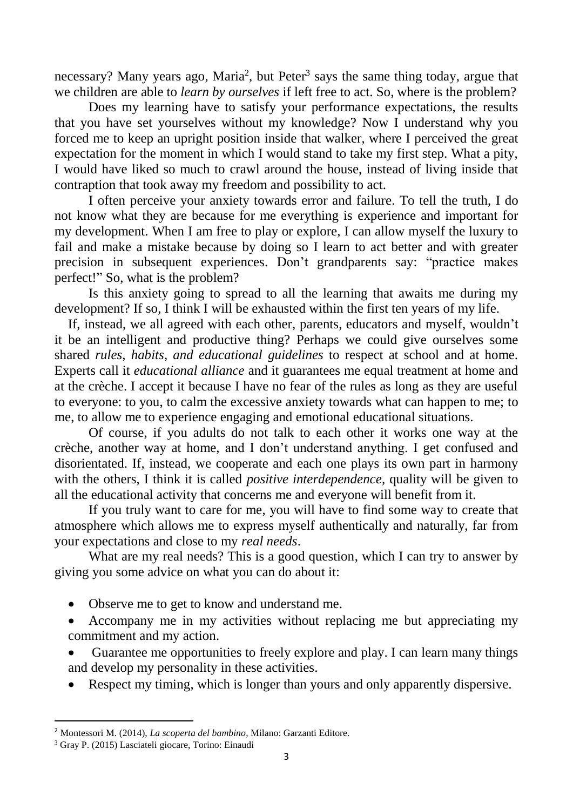necessary? Many years ago, Maria<sup>2</sup>, but Peter<sup>3</sup> says the same thing today, argue that we children are able to *learn by ourselves* if left free to act. So, where is the problem?

Does my learning have to satisfy your performance expectations, the results that you have set yourselves without my knowledge? Now I understand why you forced me to keep an upright position inside that walker, where I perceived the great expectation for the moment in which I would stand to take my first step. What a pity, I would have liked so much to crawl around the house, instead of living inside that contraption that took away my freedom and possibility to act.

I often perceive your anxiety towards error and failure. To tell the truth, I do not know what they are because for me everything is experience and important for my development. When I am free to play or explore, I can allow myself the luxury to fail and make a mistake because by doing so I learn to act better and with greater precision in subsequent experiences. Don't grandparents say: "practice makes perfect!" So, what is the problem?

Is this anxiety going to spread to all the learning that awaits me during my development? If so, I think I will be exhausted within the first ten years of my life.

 If, instead, we all agreed with each other, parents, educators and myself, wouldn't it be an intelligent and productive thing? Perhaps we could give ourselves some shared *rules*, *habits*, *and educational guidelines* to respect at school and at home. Experts call it *educational alliance* and it guarantees me equal treatment at home and at the crèche. I accept it because I have no fear of the rules as long as they are useful to everyone: to you, to calm the excessive anxiety towards what can happen to me; to me, to allow me to experience engaging and emotional educational situations.

Of course, if you adults do not talk to each other it works one way at the crèche, another way at home, and I don't understand anything. I get confused and disorientated. If, instead, we cooperate and each one plays its own part in harmony with the others, I think it is called *positive interdependence,* quality will be given to all the educational activity that concerns me and everyone will benefit from it.

If you truly want to care for me, you will have to find some way to create that atmosphere which allows me to express myself authentically and naturally, far from your expectations and close to my *real needs*.

What are my real needs? This is a good question, which I can try to answer by giving you some advice on what you can do about it:

- Observe me to get to know and understand me.
- Accompany me in my activities without replacing me but appreciating my commitment and my action.
- Guarantee me opportunities to freely explore and play. I can learn many things and develop my personality in these activities.
- Respect my timing, which is longer than yours and only apparently dispersive.

**.** 

<sup>2</sup> Montessori M. (2014), *La scoperta del bambino*, Milano: Garzanti Editore.

<sup>3</sup> Gray P. (2015) Lasciateli giocare, Torino: Einaudi